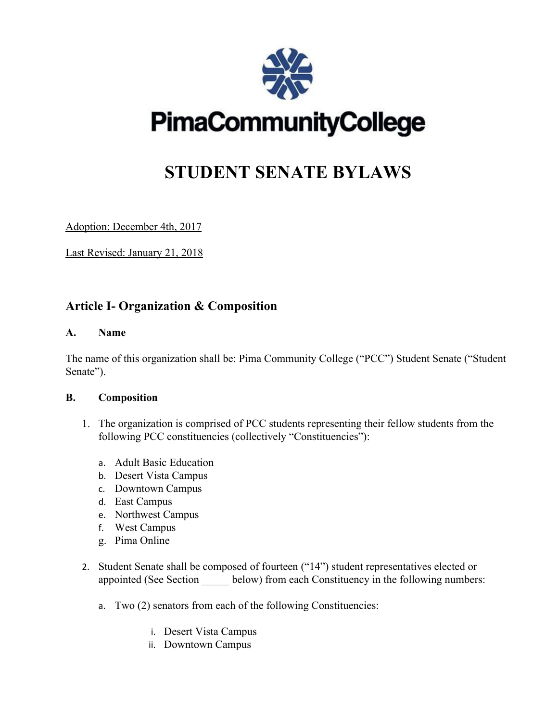

# **PimaCommunityCollege**

# **STUDENT SENATE BYLAWS**

Adoption: December 4th, 2017

Last Revised: January 21, 2018

# **Article I- Organization & Composition**

#### **A. Name**

The name of this organization shall be: Pima Community College ("PCC") Student Senate ("Student Senate").

#### **B. Composition**

- 1. The organization is comprised of PCC students representing their fellow students from the following PCC constituencies (collectively "Constituencies"):
	- a. Adult Basic Education
	- b. Desert Vista Campus
	- c. Downtown Campus
	- d. East Campus
	- e. Northwest Campus
	- f. West Campus
	- g. Pima Online
- 2. Student Senate shall be composed of fourteen ("14") student representatives elected or appointed (See Section subseted below) from each Constituency in the following numbers:
	- a. Two (2) senators from each of the following Constituencies:
		- i. Desert Vista Campus
		- ii. Downtown Campus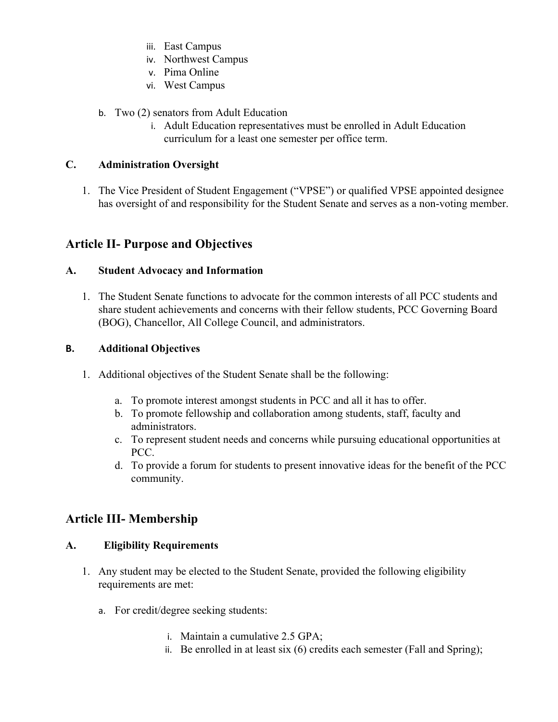- iii. East Campus
- iv. Northwest Campus
- v. Pima Online
- vi. West Campus
- b. Two (2) senators from Adult Education
	- i. Adult Education representatives must be enrolled in Adult Education curriculum for a least one semester per office term.

#### **C. Administration Oversight**

1. The Vice President of Student Engagement ("VPSE") or qualified VPSE appointed designee has oversight of and responsibility for the Student Senate and serves as a non-voting member.

# **Article II- Purpose and Objectives**

#### **A. Student Advocacy and Information**

1. The Student Senate functions to advocate for the common interests of all PCC students and share student achievements and concerns with their fellow students, PCC Governing Board (BOG), Chancellor, All College Council, and administrators.

#### **B. Additional Objectives**

- 1. Additional objectives of the Student Senate shall be the following:
	- a. To promote interest amongst students in PCC and all it has to offer.
	- b. To promote fellowship and collaboration among students, staff, faculty and administrators.
	- c. To represent student needs and concerns while pursuing educational opportunities at PCC.
	- d. To provide a forum for students to present innovative ideas for the benefit of the PCC community.

## **Article III- Membership**

#### **A. Eligibility Requirements**

- 1. Any student may be elected to the Student Senate, provided the following eligibility requirements are met:
	- a. For credit/degree seeking students:
		- i. Maintain a cumulative 2.5 GPA;
		- ii. Be enrolled in at least six (6) credits each semester (Fall and Spring);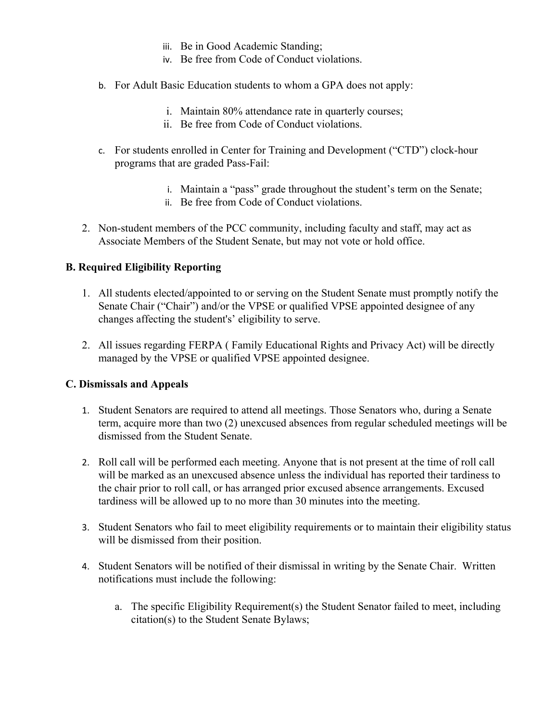- iii. Be in Good Academic Standing;
- iv. Be free from Code of Conduct violations.
- b. For Adult Basic Education students to whom a GPA does not apply:
	- i. Maintain 80% attendance rate in quarterly courses;
	- ii. Be free from Code of Conduct violations.
- c. For students enrolled in Center for Training and Development ("CTD") clock-hour programs that are graded Pass-Fail:
	- i. Maintain a "pass" grade throughout the student's term on the Senate;
	- ii. Be free from Code of Conduct violations.
- 2. Non-student members of the PCC community, including faculty and staff, may act as Associate Members of the Student Senate, but may not vote or hold office.

#### **B. Required Eligibility Reporting**

- 1. All students elected/appointed to or serving on the Student Senate must promptly notify the Senate Chair ("Chair") and/or the VPSE or qualified VPSE appointed designee of any changes affecting the student's' eligibility to serve.
- 2. All issues regarding FERPA ( Family Educational Rights and Privacy Act) will be directly managed by the VPSE or qualified VPSE appointed designee.

#### **C. Dismissals and Appeals**

- 1. Student Senators are required to attend all meetings. Those Senators who, during a Senate term, acquire more than two (2) unexcused absences from regular scheduled meetings will be dismissed from the Student Senate.
- 2. Roll call will be performed each meeting. Anyone that is not present at the time of roll call will be marked as an unexcused absence unless the individual has reported their tardiness to the chair prior to roll call, or has arranged prior excused absence arrangements. Excused tardiness will be allowed up to no more than 30 minutes into the meeting.
- 3. Student Senators who fail to meet eligibility requirements or to maintain their eligibility status will be dismissed from their position.
- 4. Student Senators will be notified of their dismissal in writing by the Senate Chair. Written notifications must include the following:
	- a. The specific Eligibility Requirement(s) the Student Senator failed to meet, including citation(s) to the Student Senate Bylaws;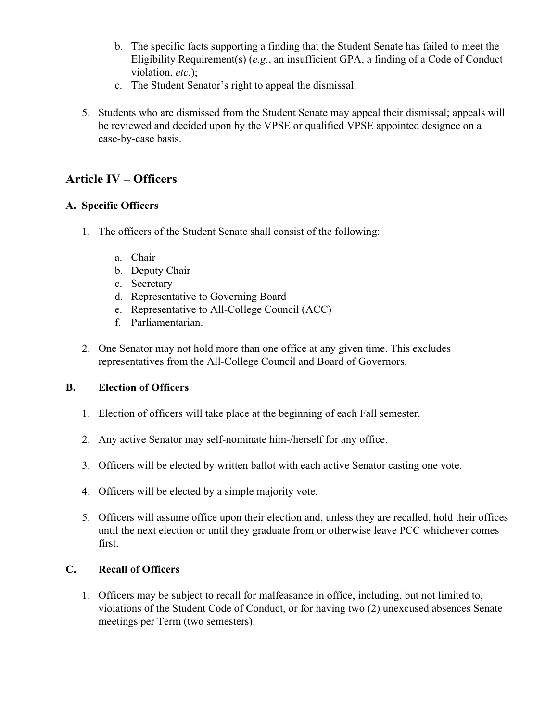- b. The specific facts supporting a finding that the Student Senate has failed to meet the Eligibility Requirement(s) (*e.g.*, an insufficient GPA, a finding of a Code of Conduct violation, *etc*.);
- c. The Student Senator's right to appeal the dismissal.
- 5. Students who are dismissed from the Student Senate may appeal their dismissal; appeals will be reviewed and decided upon by the VPSE or qualified VPSE appointed designee on a case-by-case basis.

# **Article IV – Officers**

#### **A. Specific Officers**

- 1. The officers of the Student Senate shall consist of the following:
	- a. Chair
	- b. Deputy Chair
	- c. Secretary
	- d. Representative to Governing Board
	- e. Representative to All-College Council (ACC)
	- f. Parliamentarian.
- 2. One Senator may not hold more than one office at any given time. This excludes representatives from the All-College Council and Board of Governors.

#### **B. Election of Officers**

- 1. Election of officers will take place at the beginning of each Fall semester.
- 2. Any active Senator may self-nominate him-/herself for any office.
- 3. Officers will be elected by written ballot with each active Senator casting one vote.
- 4. Officers will be elected by a simple majority vote.
- 5. Officers will assume office upon their election and, unless they are recalled, hold their offices until the next election or until they graduate from or otherwise leave PCC whichever comes first.

#### **C. Recall of Officers**

1. Officers may be subject to recall for malfeasance in office, including, but not limited to, violations of the Student Code of Conduct, or for having two (2) unexcused absences Senate meetings per Term (two semesters).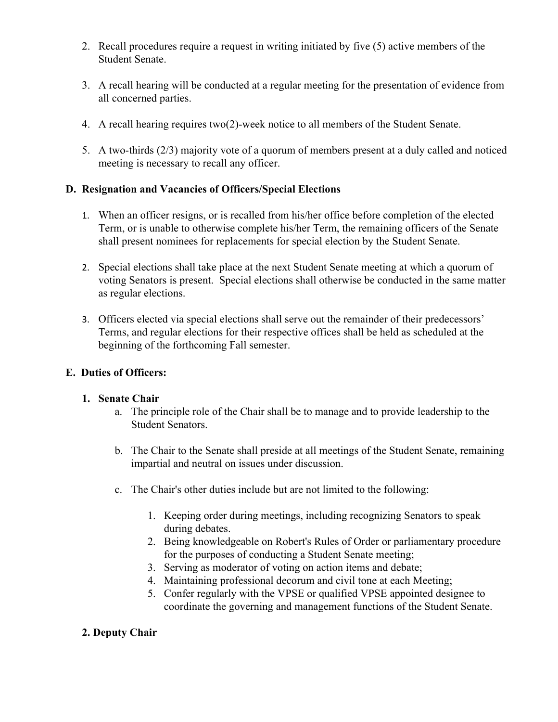- 2. Recall procedures require a request in writing initiated by five (5) active members of the Student Senate.
- 3. A recall hearing will be conducted at a regular meeting for the presentation of evidence from all concerned parties.
- 4. A recall hearing requires two(2)-week notice to all members of the Student Senate.
- 5. A two-thirds (2/3) majority vote of a quorum of members present at a duly called and noticed meeting is necessary to recall any officer.

#### **D. Resignation and Vacancies of Officers/Special Elections**

- 1. When an officer resigns, or is recalled from his/her office before completion of the elected Term, or is unable to otherwise complete his/her Term, the remaining officers of the Senate shall present nominees for replacements for special election by the Student Senate.
- 2. Special elections shall take place at the next Student Senate meeting at which a quorum of voting Senators is present. Special elections shall otherwise be conducted in the same matter as regular elections.
- 3. Officers elected via special elections shall serve out the remainder of their predecessors' Terms, and regular elections for their respective offices shall be held as scheduled at the beginning of the forthcoming Fall semester.

#### **E. Duties of Officers:**

#### **1. Senate Chair**

- a. The principle role of the Chair shall be to manage and to provide leadership to the Student Senators.
- b. The Chair to the Senate shall preside at all meetings of the Student Senate, remaining impartial and neutral on issues under discussion.
- c. The Chair's other duties include but are not limited to the following:
	- 1. Keeping order during meetings, including recognizing Senators to speak during debates.
	- 2. Being knowledgeable on Robert's Rules of Order or parliamentary procedure for the purposes of conducting a Student Senate meeting;
	- 3. Serving as moderator of voting on action items and debate;
	- 4. Maintaining professional decorum and civil tone at each Meeting;
	- 5. Confer regularly with the VPSE or qualified VPSE appointed designee to coordinate the governing and management functions of the Student Senate.

#### **2. Deputy Chair**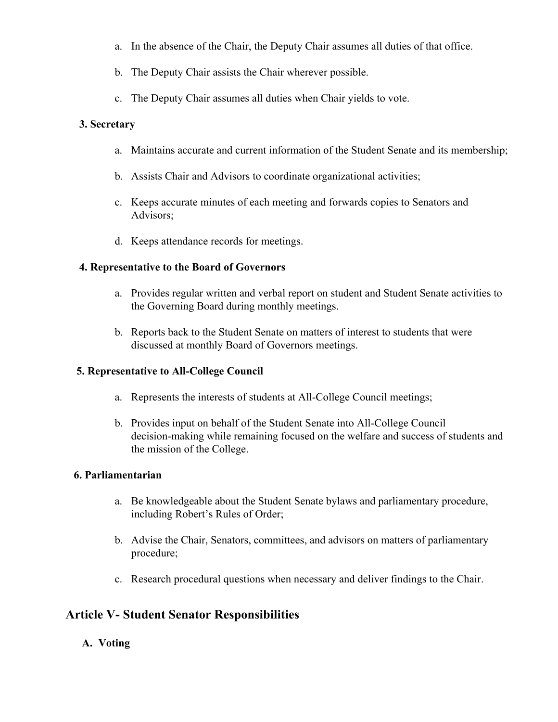- a. In the absence of the Chair, the Deputy Chair assumes all duties of that office.
- b. The Deputy Chair assists the Chair wherever possible.
- c. The Deputy Chair assumes all duties when Chair yields to vote.

#### **3. Secretary**

- a. Maintains accurate and current information of the Student Senate and its membership;
- b. Assists Chair and Advisors to coordinate organizational activities;
- c. Keeps accurate minutes of each meeting and forwards copies to Senators and Advisors;
- d. Keeps attendance records for meetings.

#### **4. Representative to the Board of Governors**

- a. Provides regular written and verbal report on student and Student Senate activities to the Governing Board during monthly meetings.
- b. Reports back to the Student Senate on matters of interest to students that were discussed at monthly Board of Governors meetings.

#### **5. Representative to All-College Council**

- a. Represents the interests of students at All-College Council meetings;
- b. Provides input on behalf of the Student Senate into All-College Council decision-making while remaining focused on the welfare and success of students and the mission of the College.

#### **6. Parliamentarian**

- a. Be knowledgeable about the Student Senate bylaws and parliamentary procedure, including Robert's Rules of Order;
- b. Advise the Chair, Senators, committees, and advisors on matters of parliamentary procedure;
- c. Research procedural questions when necessary and deliver findings to the Chair.

## **Article V- Student Senator Responsibilities**

#### **A. Voting**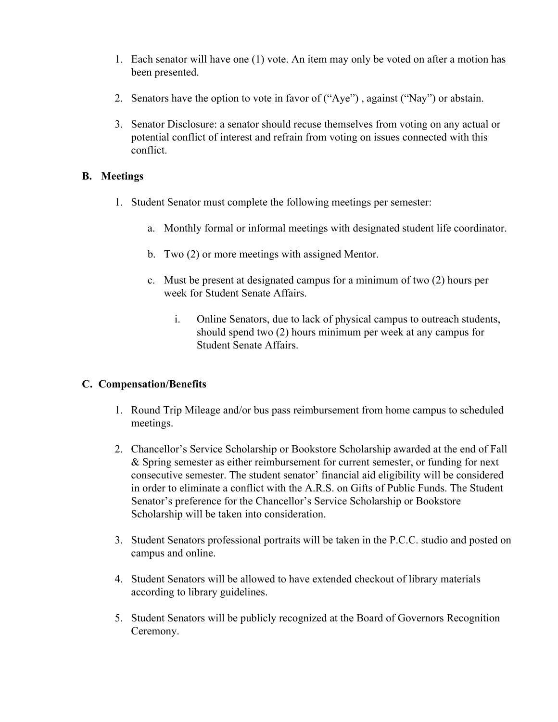- 1. Each senator will have one (1) vote. An item may only be voted on after a motion has been presented.
- 2. Senators have the option to vote in favor of ("Aye") , against ("Nay") or abstain.
- 3. Senator Disclosure: a senator should recuse themselves from voting on any actual or potential conflict of interest and refrain from voting on issues connected with this conflict.

#### **B. Meetings**

- 1. Student Senator must complete the following meetings per semester:
	- a. Monthly formal or informal meetings with designated student life coordinator.
	- b. Two (2) or more meetings with assigned Mentor.
	- c. Must be present at designated campus for a minimum of two (2) hours per week for Student Senate Affairs.
		- i. Online Senators, due to lack of physical campus to outreach students, should spend two (2) hours minimum per week at any campus for Student Senate Affairs.

#### **C. Compensation/Benefits**

- 1. Round Trip Mileage and/or bus pass reimbursement from home campus to scheduled meetings.
- 2. Chancellor's Service Scholarship or Bookstore Scholarship awarded at the end of Fall & Spring semester as either reimbursement for current semester, or funding for next consecutive semester. The student senator' financial aid eligibility will be considered in order to eliminate a conflict with the A.R.S. on Gifts of Public Funds. The Student Senator's preference for the Chancellor's Service Scholarship or Bookstore Scholarship will be taken into consideration.
- 3. Student Senators professional portraits will be taken in the P.C.C. studio and posted on campus and online.
- 4. Student Senators will be allowed to have extended checkout of library materials according to library guidelines.
- 5. Student Senators will be publicly recognized at the Board of Governors Recognition Ceremony.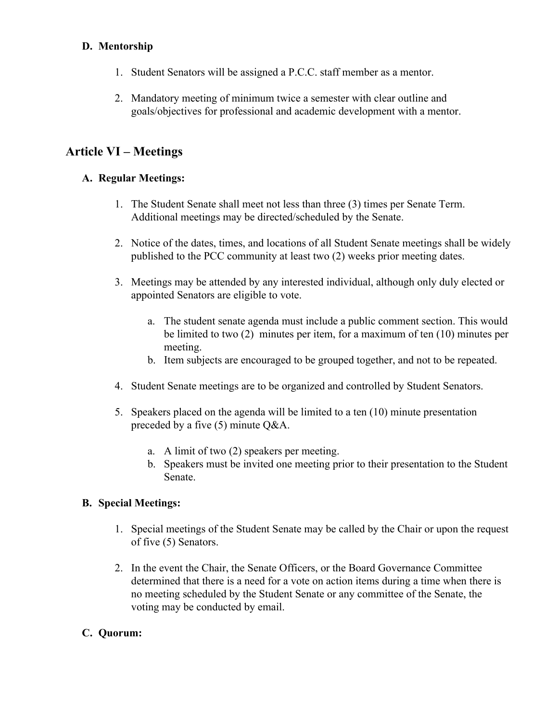#### **D. Mentorship**

- 1. Student Senators will be assigned a P.C.C. staff member as a mentor.
- 2. Mandatory meeting of minimum twice a semester with clear outline and goals/objectives for professional and academic development with a mentor.

# **Article VI – Meetings**

#### **A. Regular Meetings:**

- 1. The Student Senate shall meet not less than three (3) times per Senate Term. Additional meetings may be directed/scheduled by the Senate.
- 2. Notice of the dates, times, and locations of all Student Senate meetings shall be widely published to the PCC community at least two (2) weeks prior meeting dates.
- 3. Meetings may be attended by any interested individual, although only duly elected or appointed Senators are eligible to vote.
	- a. The student senate agenda must include a public comment section. This would be limited to two (2) minutes per item, for a maximum of ten (10) minutes per meeting.
	- b. Item subjects are encouraged to be grouped together, and not to be repeated.
- 4. Student Senate meetings are to be organized and controlled by Student Senators.
- 5. Speakers placed on the agenda will be limited to a ten (10) minute presentation preceded by a five (5) minute Q&A.
	- a. A limit of two (2) speakers per meeting.
	- b. Speakers must be invited one meeting prior to their presentation to the Student Senate.

#### **B. Special Meetings:**

- 1. Special meetings of the Student Senate may be called by the Chair or upon the request of five (5) Senators.
- 2. In the event the Chair, the Senate Officers, or the Board Governance Committee determined that there is a need for a vote on action items during a time when there is no meeting scheduled by the Student Senate or any committee of the Senate, the voting may be conducted by email.

#### **C. Quorum:**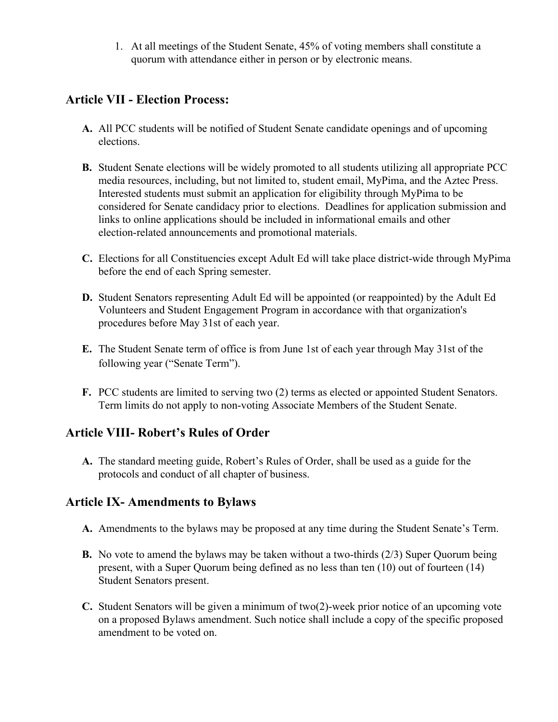1. At all meetings of the Student Senate, 45% of voting members shall constitute a quorum with attendance either in person or by electronic means.

# **Article VII - Election Process:**

- **A.** All PCC students will be notified of Student Senate candidate openings and of upcoming elections.
- **B.** Student Senate elections will be widely promoted to all students utilizing all appropriate PCC media resources, including, but not limited to, student email, MyPima, and the Aztec Press. Interested students must submit an application for eligibility through MyPima to be considered for Senate candidacy prior to elections. Deadlines for application submission and links to online applications should be included in informational emails and other election-related announcements and promotional materials.
- **C.** Elections for all Constituencies except Adult Ed will take place district-wide through MyPima before the end of each Spring semester.
- **D.** Student Senators representing Adult Ed will be appointed (or reappointed) by the Adult Ed Volunteers and Student Engagement Program in accordance with that organization's procedures before May 31st of each year.
- **E.** The Student Senate term of office is from June 1st of each year through May 31st of the following year ("Senate Term").
- **F.** PCC students are limited to serving two (2) terms as elected or appointed Student Senators. Term limits do not apply to non-voting Associate Members of the Student Senate.

# **Article VIII- Robert's Rules of Order**

**A.** The standard meeting guide, Robert's Rules of Order, shall be used as a guide for the protocols and conduct of all chapter of business.

# **Article IX- Amendments to Bylaws**

- **A.** Amendments to the bylaws may be proposed at any time during the Student Senate's Term.
- **B.** No vote to amend the bylaws may be taken without a two-thirds (2/3) Super Quorum being present, with a Super Quorum being defined as no less than ten (10) out of fourteen (14) Student Senators present.
- **C.** Student Senators will be given a minimum of two(2)-week prior notice of an upcoming vote on a proposed Bylaws amendment. Such notice shall include a copy of the specific proposed amendment to be voted on.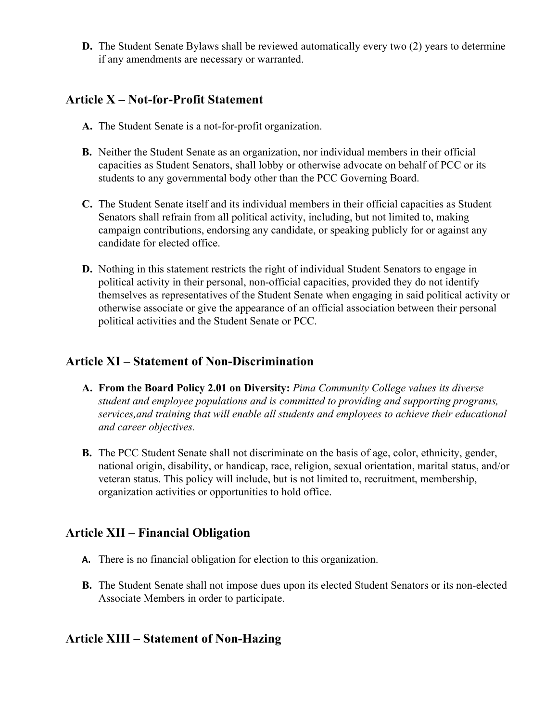**D.** The Student Senate Bylaws shall be reviewed automatically every two (2) years to determine if any amendments are necessary or warranted.

# **Article X – Not-for-Profit Statement**

- **A.** The Student Senate is a not-for-profit organization.
- **B.** Neither the Student Senate as an organization, nor individual members in their official capacities as Student Senators, shall lobby or otherwise advocate on behalf of PCC or its students to any governmental body other than the PCC Governing Board.
- **C.** The Student Senate itself and its individual members in their official capacities as Student Senators shall refrain from all political activity, including, but not limited to, making campaign contributions, endorsing any candidate, or speaking publicly for or against any candidate for elected office.
- **D.** Nothing in this statement restricts the right of individual Student Senators to engage in political activity in their personal, non-official capacities, provided they do not identify themselves as representatives of the Student Senate when engaging in said political activity or otherwise associate or give the appearance of an official association between their personal political activities and the Student Senate or PCC.

# **Article XI – Statement of Non-Discrimination**

- **A. From the Board Policy 2.01 on Diversity:** *Pima Community College values its diverse student and employee populations and is committed to providing and supporting programs, services,and training that will enable all students and employees to achieve their educational and career objectives.*
- **B.** The PCC Student Senate shall not discriminate on the basis of age, color, ethnicity, gender, national origin, disability, or handicap, race, religion, sexual orientation, marital status, and/or veteran status. This policy will include, but is not limited to, recruitment, membership, organization activities or opportunities to hold office.

# **Article XII – Financial Obligation**

- **A.** There is no financial obligation for election to this organization.
- **B.** The Student Senate shall not impose dues upon its elected Student Senators or its non-elected Associate Members in order to participate.

# **Article XIII – Statement of Non-Hazing**